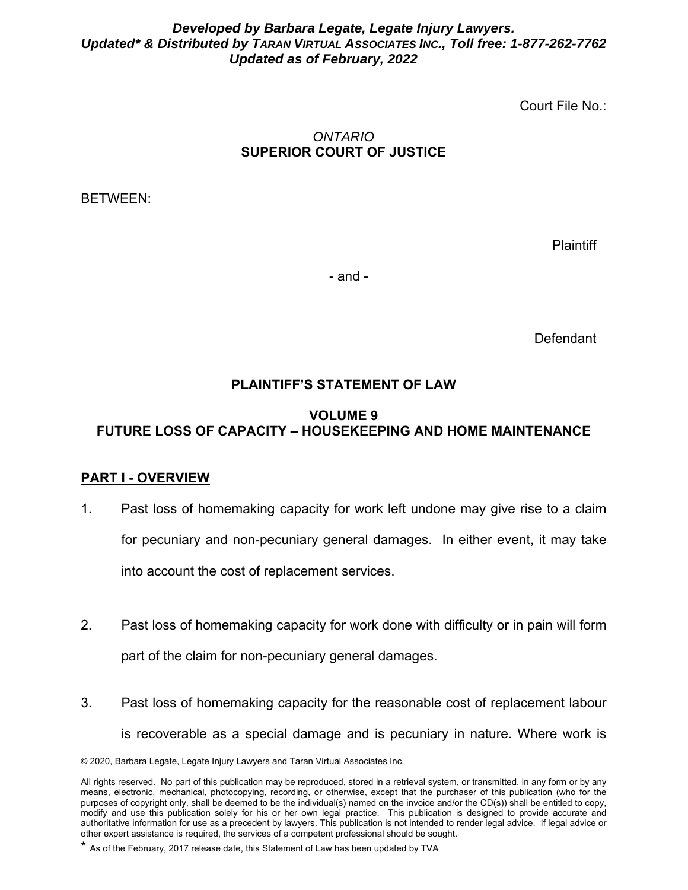#### *Developed by Barbara Legate, Legate Injury Lawyers. Updated\* & Distributed by TARAN VIRTUAL ASSOCIATES INC., Toll free: 1-877-262-7762 Updated as of February, 2022*

Court File No.:

### *ONTARIO*  **SUPERIOR COURT OF JUSTICE**

BETWEEN:

**Plaintiff** 

- and -

**Defendant** 

## **PLAINTIFF'S STATEMENT OF LAW**

### **VOLUME 9 FUTURE LOSS OF CAPACITY – HOUSEKEEPING AND HOME MAINTENANCE**

### **PART I - OVERVIEW**

- 1. Past loss of homemaking capacity for work left undone may give rise to a claim for pecuniary and non-pecuniary general damages. In either event, it may take into account the cost of replacement services.
- 2. Past loss of homemaking capacity for work done with difficulty or in pain will form part of the claim for non-pecuniary general damages.
- 3. Past loss of homemaking capacity for the reasonable cost of replacement labour is recoverable as a special damage and is pecuniary in nature. Where work is

<sup>© 2020,</sup> Barbara Legate, Legate Injury Lawyers and Taran Virtual Associates Inc.

All rights reserved. No part of this publication may be reproduced, stored in a retrieval system, or transmitted, in any form or by any means, electronic, mechanical, photocopying, recording, or otherwise, except that the purchaser of this publication (who for the purposes of copyright only, shall be deemed to be the individual(s) named on the invoice and/or the CD(s)) shall be entitled to copy, modify and use this publication solely for his or her own legal practice. This publication is designed to provide accurate and authoritative information for use as a precedent by lawyers. This publication is not intended to render legal advice. If legal advice or other expert assistance is required, the services of a competent professional should be sought.

<sup>\*</sup> As of the February, 2017 release date, this Statement of Law has been updated by TVA